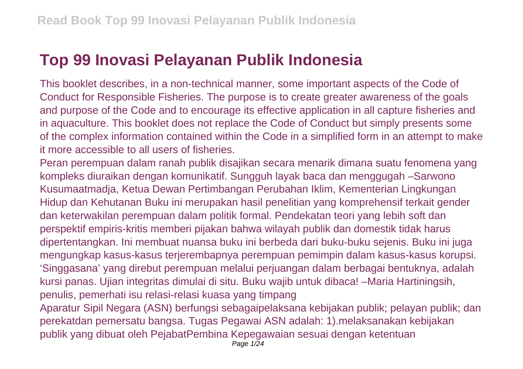## **Top 99 Inovasi Pelayanan Publik Indonesia**

This booklet describes, in a non-technical manner, some important aspects of the Code of Conduct for Responsible Fisheries. The purpose is to create greater awareness of the goals and purpose of the Code and to encourage its effective application in all capture fisheries and in aquaculture. This booklet does not replace the Code of Conduct but simply presents some of the complex information contained within the Code in a simplified form in an attempt to make it more accessible to all users of fisheries.

Peran perempuan dalam ranah publik disajikan secara menarik dimana suatu fenomena yang kompleks diuraikan dengan komunikatif. Sungguh layak baca dan menggugah –Sarwono Kusumaatmadja, Ketua Dewan Pertimbangan Perubahan Iklim, Kementerian Lingkungan Hidup dan Kehutanan Buku ini merupakan hasil penelitian yang komprehensif terkait gender dan keterwakilan perempuan dalam politik formal. Pendekatan teori yang lebih soft dan perspektif empiris-kritis memberi pijakan bahwa wilayah publik dan domestik tidak harus dipertentangkan. Ini membuat nuansa buku ini berbeda dari buku-buku sejenis. Buku ini juga mengungkap kasus-kasus terjerembapnya perempuan pemimpin dalam kasus-kasus korupsi. 'Singgasana' yang direbut perempuan melalui perjuangan dalam berbagai bentuknya, adalah kursi panas. Ujian integritas dimulai di situ. Buku wajib untuk dibaca! –Maria Hartiningsih, penulis, pemerhati isu relasi-relasi kuasa yang timpang

Aparatur Sipil Negara (ASN) berfungsi sebagaipelaksana kebijakan publik; pelayan publik; dan perekatdan pemersatu bangsa. Tugas Pegawai ASN adalah: 1).melaksanakan kebijakan publik yang dibuat oleh PejabatPembina Kepegawaian sesuai dengan ketentuan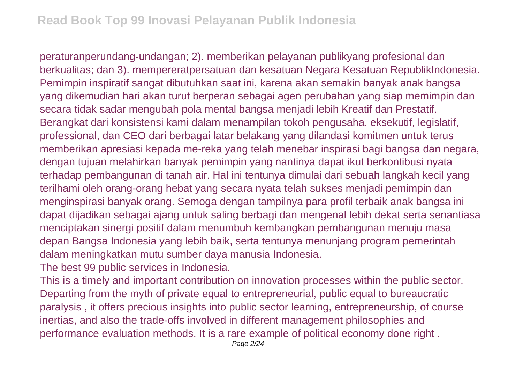peraturanperundang-undangan; 2). memberikan pelayanan publikyang profesional dan berkualitas; dan 3). mempereratpersatuan dan kesatuan Negara Kesatuan RepublikIndonesia. Pemimpin inspiratif sangat dibutuhkan saat ini, karena akan semakin banyak anak bangsa yang dikemudian hari akan turut berperan sebagai agen perubahan yang siap memimpin dan secara tidak sadar mengubah pola mental bangsa menjadi lebih Kreatif dan Prestatif. Berangkat dari konsistensi kami dalam menampilan tokoh pengusaha, eksekutif, legislatif, professional, dan CEO dari berbagai latar belakang yang dilandasi komitmen untuk terus memberikan apresiasi kepada me-reka yang telah menebar inspirasi bagi bangsa dan negara, dengan tujuan melahirkan banyak pemimpin yang nantinya dapat ikut berkontibusi nyata terhadap pembangunan di tanah air. Hal ini tentunya dimulai dari sebuah langkah kecil yang terilhami oleh orang-orang hebat yang secara nyata telah sukses menjadi pemimpin dan menginspirasi banyak orang. Semoga dengan tampilnya para profil terbaik anak bangsa ini dapat dijadikan sebagai ajang untuk saling berbagi dan mengenal lebih dekat serta senantiasa menciptakan sinergi positif dalam menumbuh kembangkan pembangunan menuju masa depan Bangsa Indonesia yang lebih baik, serta tentunya menunjang program pemerintah dalam meningkatkan mutu sumber daya manusia Indonesia.

The best 99 public services in Indonesia.

This is a timely and important contribution on innovation processes within the public sector. Departing from the myth of private equal to entrepreneurial, public equal to bureaucratic paralysis , it offers precious insights into public sector learning, entrepreneurship, of course inertias, and also the trade-offs involved in different management philosophies and performance evaluation methods. It is a rare example of political economy done right .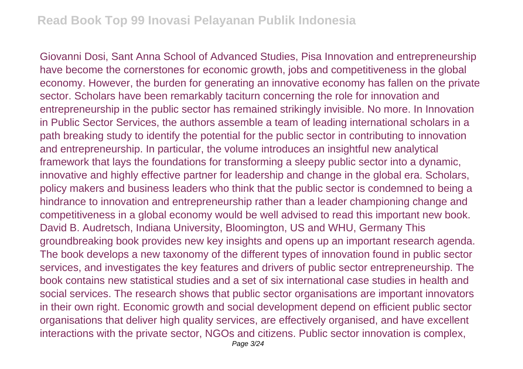Giovanni Dosi, Sant Anna School of Advanced Studies, Pisa Innovation and entrepreneurship have become the cornerstones for economic growth, jobs and competitiveness in the global economy. However, the burden for generating an innovative economy has fallen on the private sector. Scholars have been remarkably taciturn concerning the role for innovation and entrepreneurship in the public sector has remained strikingly invisible. No more. In Innovation in Public Sector Services, the authors assemble a team of leading international scholars in a path breaking study to identify the potential for the public sector in contributing to innovation and entrepreneurship. In particular, the volume introduces an insightful new analytical framework that lays the foundations for transforming a sleepy public sector into a dynamic, innovative and highly effective partner for leadership and change in the global era. Scholars, policy makers and business leaders who think that the public sector is condemned to being a hindrance to innovation and entrepreneurship rather than a leader championing change and competitiveness in a global economy would be well advised to read this important new book. David B. Audretsch, Indiana University, Bloomington, US and WHU, Germany This groundbreaking book provides new key insights and opens up an important research agenda. The book develops a new taxonomy of the different types of innovation found in public sector services, and investigates the key features and drivers of public sector entrepreneurship. The book contains new statistical studies and a set of six international case studies in health and social services. The research shows that public sector organisations are important innovators in their own right. Economic growth and social development depend on efficient public sector organisations that deliver high quality services, are effectively organised, and have excellent interactions with the private sector, NGOs and citizens. Public sector innovation is complex,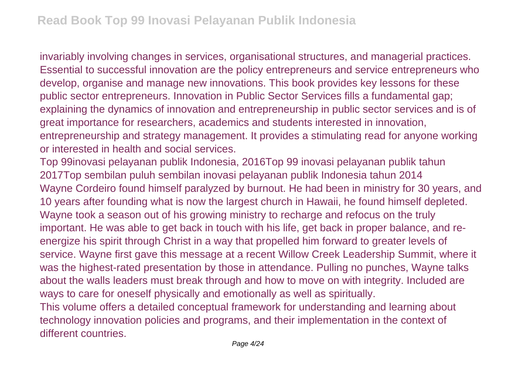invariably involving changes in services, organisational structures, and managerial practices. Essential to successful innovation are the policy entrepreneurs and service entrepreneurs who develop, organise and manage new innovations. This book provides key lessons for these public sector entrepreneurs. Innovation in Public Sector Services fills a fundamental gap; explaining the dynamics of innovation and entrepreneurship in public sector services and is of great importance for researchers, academics and students interested in innovation, entrepreneurship and strategy management. It provides a stimulating read for anyone working or interested in health and social services.

Top 99inovasi pelayanan publik Indonesia, 2016Top 99 inovasi pelayanan publik tahun 2017Top sembilan puluh sembilan inovasi pelayanan publik Indonesia tahun 2014 Wayne Cordeiro found himself paralyzed by burnout. He had been in ministry for 30 years, and 10 years after founding what is now the largest church in Hawaii, he found himself depleted. Wayne took a season out of his growing ministry to recharge and refocus on the truly important. He was able to get back in touch with his life, get back in proper balance, and reenergize his spirit through Christ in a way that propelled him forward to greater levels of service. Wayne first gave this message at a recent Willow Creek Leadership Summit, where it was the highest-rated presentation by those in attendance. Pulling no punches, Wayne talks about the walls leaders must break through and how to move on with integrity. Included are ways to care for oneself physically and emotionally as well as spiritually. This volume offers a detailed conceptual framework for understanding and learning about technology innovation policies and programs, and their implementation in the context of

different countries.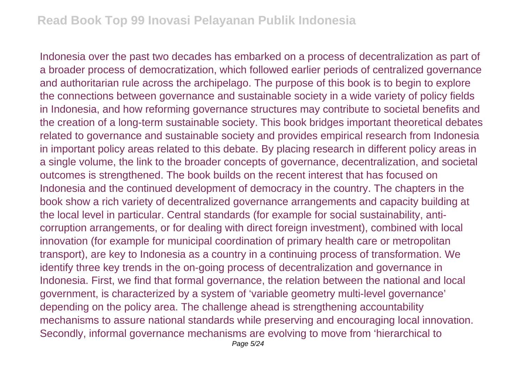Indonesia over the past two decades has embarked on a process of decentralization as part of a broader process of democratization, which followed earlier periods of centralized governance and authoritarian rule across the archipelago. The purpose of this book is to begin to explore the connections between governance and sustainable society in a wide variety of policy fields in Indonesia, and how reforming governance structures may contribute to societal benefits and the creation of a long-term sustainable society. This book bridges important theoretical debates related to governance and sustainable society and provides empirical research from Indonesia in important policy areas related to this debate. By placing research in different policy areas in a single volume, the link to the broader concepts of governance, decentralization, and societal outcomes is strengthened. The book builds on the recent interest that has focused on Indonesia and the continued development of democracy in the country. The chapters in the book show a rich variety of decentralized governance arrangements and capacity building at the local level in particular. Central standards (for example for social sustainability, anticorruption arrangements, or for dealing with direct foreign investment), combined with local innovation (for example for municipal coordination of primary health care or metropolitan transport), are key to Indonesia as a country in a continuing process of transformation. We identify three key trends in the on-going process of decentralization and governance in Indonesia. First, we find that formal governance, the relation between the national and local government, is characterized by a system of 'variable geometry multi-level governance' depending on the policy area. The challenge ahead is strengthening accountability mechanisms to assure national standards while preserving and encouraging local innovation. Secondly, informal governance mechanisms are evolving to move from 'hierarchical to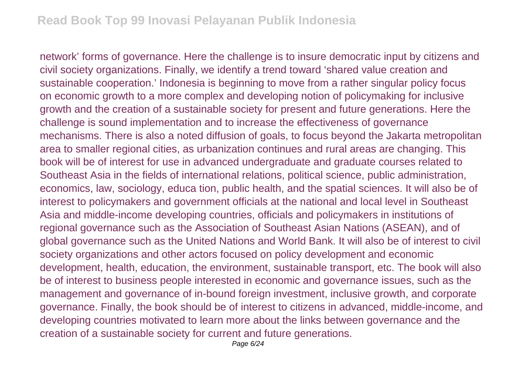network' forms of governance. Here the challenge is to insure democratic input by citizens and civil society organizations. Finally, we identify a trend toward 'shared value creation and sustainable cooperation.' Indonesia is beginning to move from a rather singular policy focus on economic growth to a more complex and developing notion of policymaking for inclusive growth and the creation of a sustainable society for present and future generations. Here the challenge is sound implementation and to increase the effectiveness of governance mechanisms. There is also a noted diffusion of goals, to focus beyond the Jakarta metropolitan area to smaller regional cities, as urbanization continues and rural areas are changing. This book will be of interest for use in advanced undergraduate and graduate courses related to Southeast Asia in the fields of international relations, political science, public administration, economics, law, sociology, educa tion, public health, and the spatial sciences. It will also be of interest to policymakers and government officials at the national and local level in Southeast Asia and middle-income developing countries, officials and policymakers in institutions of regional governance such as the Association of Southeast Asian Nations (ASEAN), and of global governance such as the United Nations and World Bank. It will also be of interest to civil society organizations and other actors focused on policy development and economic development, health, education, the environment, sustainable transport, etc. The book will also be of interest to business people interested in economic and governance issues, such as the management and governance of in-bound foreign investment, inclusive growth, and corporate governance. Finally, the book should be of interest to citizens in advanced, middle-income, and developing countries motivated to learn more about the links between governance and the creation of a sustainable society for current and future generations.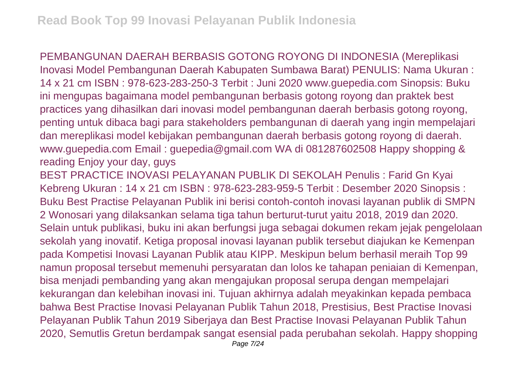PEMBANGUNAN DAERAH BERBASIS GOTONG ROYONG DI INDONESIA (Mereplikasi Inovasi Model Pembangunan Daerah Kabupaten Sumbawa Barat) PENULIS: Nama Ukuran : 14 x 21 cm ISBN : 978-623-283-250-3 Terbit : Juni 2020 www.guepedia.com Sinopsis: Buku ini mengupas bagaimana model pembangunan berbasis gotong royong dan praktek best practices yang dihasilkan dari inovasi model pembangunan daerah berbasis gotong royong, penting untuk dibaca bagi para stakeholders pembangunan di daerah yang ingin mempelajari dan mereplikasi model kebijakan pembangunan daerah berbasis gotong royong di daerah. www.guepedia.com Email : guepedia@gmail.com WA di 081287602508 Happy shopping & reading Enjoy your day, guys

BEST PRACTICE INOVASI PELAYANAN PUBLIK DI SEKOLAH Penulis : Farid Gn Kyai Kebreng Ukuran : 14 x 21 cm ISBN : 978-623-283-959-5 Terbit : Desember 2020 Sinopsis : Buku Best Practise Pelayanan Publik ini berisi contoh-contoh inovasi layanan publik di SMPN 2 Wonosari yang dilaksankan selama tiga tahun berturut-turut yaitu 2018, 2019 dan 2020. Selain untuk publikasi, buku ini akan berfungsi juga sebagai dokumen rekam jejak pengelolaan sekolah yang inovatif. Ketiga proposal inovasi layanan publik tersebut diajukan ke Kemenpan pada Kompetisi Inovasi Layanan Publik atau KIPP. Meskipun belum berhasil meraih Top 99 namun proposal tersebut memenuhi persyaratan dan lolos ke tahapan peniaian di Kemenpan, bisa menjadi pembanding yang akan mengajukan proposal serupa dengan mempelajari kekurangan dan kelebihan inovasi ini. Tujuan akhirnya adalah meyakinkan kepada pembaca bahwa Best Practise Inovasi Pelayanan Publik Tahun 2018, Prestisius, Best Practise Inovasi Pelayanan Publik Tahun 2019 Siberjaya dan Best Practise Inovasi Pelayanan Publik Tahun 2020, Semutlis Gretun berdampak sangat esensial pada perubahan sekolah. Happy shopping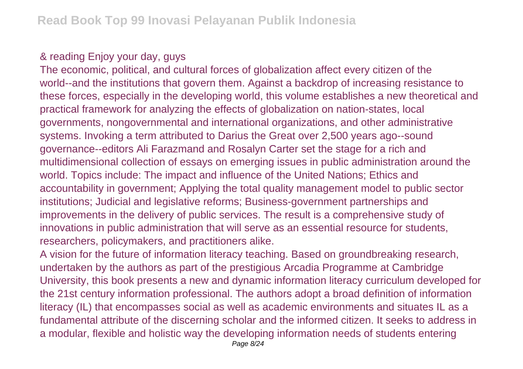## & reading Enjoy your day, guys

The economic, political, and cultural forces of globalization affect every citizen of the world--and the institutions that govern them. Against a backdrop of increasing resistance to these forces, especially in the developing world, this volume establishes a new theoretical and practical framework for analyzing the effects of globalization on nation-states, local governments, nongovernmental and international organizations, and other administrative systems. Invoking a term attributed to Darius the Great over 2,500 years ago--sound governance--editors Ali Farazmand and Rosalyn Carter set the stage for a rich and multidimensional collection of essays on emerging issues in public administration around the world. Topics include: The impact and influence of the United Nations; Ethics and accountability in government; Applying the total quality management model to public sector institutions; Judicial and legislative reforms; Business-government partnerships and improvements in the delivery of public services. The result is a comprehensive study of innovations in public administration that will serve as an essential resource for students, researchers, policymakers, and practitioners alike.

A vision for the future of information literacy teaching. Based on groundbreaking research, undertaken by the authors as part of the prestigious Arcadia Programme at Cambridge University, this book presents a new and dynamic information literacy curriculum developed for the 21st century information professional. The authors adopt a broad definition of information literacy (IL) that encompasses social as well as academic environments and situates IL as a fundamental attribute of the discerning scholar and the informed citizen. It seeks to address in a modular, flexible and holistic way the developing information needs of students entering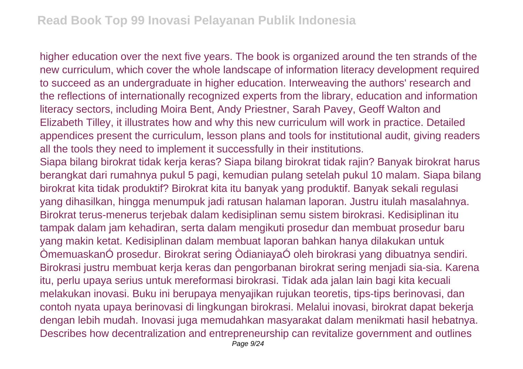higher education over the next five years. The book is organized around the ten strands of the new curriculum, which cover the whole landscape of information literacy development required to succeed as an undergraduate in higher education. Interweaving the authors' research and the reflections of internationally recognized experts from the library, education and information literacy sectors, including Moira Bent, Andy Priestner, Sarah Pavey, Geoff Walton and Elizabeth Tilley, it illustrates how and why this new curriculum will work in practice. Detailed appendices present the curriculum, lesson plans and tools for institutional audit, giving readers all the tools they need to implement it successfully in their institutions.

Siapa bilang birokrat tidak kerja keras? Siapa bilang birokrat tidak rajin? Banyak birokrat harus berangkat dari rumahnya pukul 5 pagi, kemudian pulang setelah pukul 10 malam. Siapa bilang birokrat kita tidak produktif? Birokrat kita itu banyak yang produktif. Banyak sekali regulasi yang dihasilkan, hingga menumpuk jadi ratusan halaman laporan. Justru itulah masalahnya. Birokrat terus-menerus terjebak dalam kedisiplinan semu sistem birokrasi. Kedisiplinan itu tampak dalam jam kehadiran, serta dalam mengikuti prosedur dan membuat prosedur baru yang makin ketat. Kedisiplinan dalam membuat laporan bahkan hanya dilakukan untuk ÒmemuaskanÓ prosedur. Birokrat sering ÒdianiayaÓ oleh birokrasi yang dibuatnya sendiri. Birokrasi justru membuat kerja keras dan pengorbanan birokrat sering menjadi sia-sia. Karena itu, perlu upaya serius untuk mereformasi birokrasi. Tidak ada jalan lain bagi kita kecuali melakukan inovasi. Buku ini berupaya menyajikan rujukan teoretis, tips-tips berinovasi, dan contoh nyata upaya berinovasi di lingkungan birokrasi. Melalui inovasi, birokrat dapat bekerja dengan lebih mudah. Inovasi juga memudahkan masyarakat dalam menikmati hasil hebatnya. Describes how decentralization and entrepreneurship can revitalize government and outlines Page  $9/24$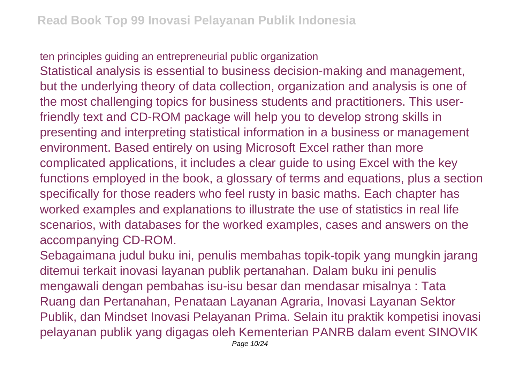ten principles guiding an entrepreneurial public organization Statistical analysis is essential to business decision-making and management, but the underlying theory of data collection, organization and analysis is one of the most challenging topics for business students and practitioners. This userfriendly text and CD-ROM package will help you to develop strong skills in

presenting and interpreting statistical information in a business or management environment. Based entirely on using Microsoft Excel rather than more complicated applications, it includes a clear guide to using Excel with the key functions employed in the book, a glossary of terms and equations, plus a section specifically for those readers who feel rusty in basic maths. Each chapter has worked examples and explanations to illustrate the use of statistics in real life scenarios, with databases for the worked examples, cases and answers on the accompanying CD-ROM.

Sebagaimana judul buku ini, penulis membahas topik-topik yang mungkin jarang ditemui terkait inovasi layanan publik pertanahan. Dalam buku ini penulis mengawali dengan pembahas isu-isu besar dan mendasar misalnya : Tata Ruang dan Pertanahan, Penataan Layanan Agraria, Inovasi Layanan Sektor Publik, dan Mindset Inovasi Pelayanan Prima. Selain itu praktik kompetisi inovasi pelayanan publik yang digagas oleh Kementerian PANRB dalam event SINOVIK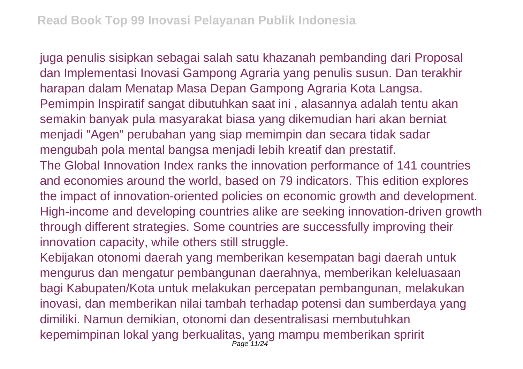juga penulis sisipkan sebagai salah satu khazanah pembanding dari Proposal dan Implementasi Inovasi Gampong Agraria yang penulis susun. Dan terakhir harapan dalam Menatap Masa Depan Gampong Agraria Kota Langsa. Pemimpin Inspiratif sangat dibutuhkan saat ini , alasannya adalah tentu akan semakin banyak pula masyarakat biasa yang dikemudian hari akan berniat menjadi "Agen" perubahan yang siap memimpin dan secara tidak sadar mengubah pola mental bangsa menjadi lebih kreatif dan prestatif. The Global Innovation Index ranks the innovation performance of 141 countries and economies around the world, based on 79 indicators. This edition explores the impact of innovation-oriented policies on economic growth and development. High-income and developing countries alike are seeking innovation-driven growth through different strategies. Some countries are successfully improving their innovation capacity, while others still struggle.

Kebijakan otonomi daerah yang memberikan kesempatan bagi daerah untuk mengurus dan mengatur pembangunan daerahnya, memberikan keleluasaan bagi Kabupaten/Kota untuk melakukan percepatan pembangunan, melakukan inovasi, dan memberikan nilai tambah terhadap potensi dan sumberdaya yang dimiliki. Namun demikian, otonomi dan desentralisasi membutuhkan kepemimpinan lokal yang berkualitas, yang mampu memberikan spririt<br>Page 11/24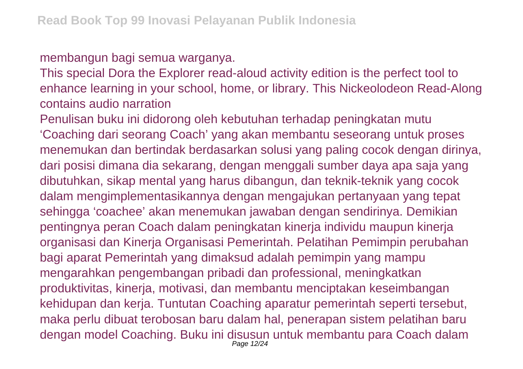## membangun bagi semua warganya.

This special Dora the Explorer read-aloud activity edition is the perfect tool to enhance learning in your school, home, or library. This Nickeolodeon Read-Along contains audio narration

Penulisan buku ini didorong oleh kebutuhan terhadap peningkatan mutu 'Coaching dari seorang Coach' yang akan membantu seseorang untuk proses menemukan dan bertindak berdasarkan solusi yang paling cocok dengan dirinya, dari posisi dimana dia sekarang, dengan menggali sumber daya apa saja yang dibutuhkan, sikap mental yang harus dibangun, dan teknik-teknik yang cocok dalam mengimplementasikannya dengan mengajukan pertanyaan yang tepat sehingga 'coachee' akan menemukan jawaban dengan sendirinya. Demikian pentingnya peran Coach dalam peningkatan kinerja individu maupun kinerja organisasi dan Kinerja Organisasi Pemerintah. Pelatihan Pemimpin perubahan bagi aparat Pemerintah yang dimaksud adalah pemimpin yang mampu mengarahkan pengembangan pribadi dan professional, meningkatkan produktivitas, kinerja, motivasi, dan membantu menciptakan keseimbangan kehidupan dan kerja. Tuntutan Coaching aparatur pemerintah seperti tersebut, maka perlu dibuat terobosan baru dalam hal, penerapan sistem pelatihan baru dengan model Coaching. Buku ini disusun untuk membantu para Coach dalam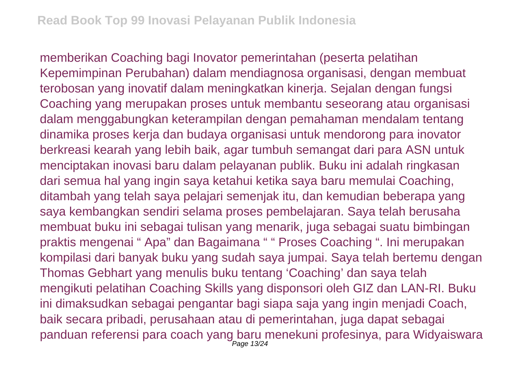memberikan Coaching bagi Inovator pemerintahan (peserta pelatihan Kepemimpinan Perubahan) dalam mendiagnosa organisasi, dengan membuat terobosan yang inovatif dalam meningkatkan kinerja. Sejalan dengan fungsi Coaching yang merupakan proses untuk membantu seseorang atau organisasi dalam menggabungkan keterampilan dengan pemahaman mendalam tentang dinamika proses kerja dan budaya organisasi untuk mendorong para inovator berkreasi kearah yang lebih baik, agar tumbuh semangat dari para ASN untuk menciptakan inovasi baru dalam pelayanan publik. Buku ini adalah ringkasan dari semua hal yang ingin saya ketahui ketika saya baru memulai Coaching, ditambah yang telah saya pelajari semenjak itu, dan kemudian beberapa yang saya kembangkan sendiri selama proses pembelajaran. Saya telah berusaha membuat buku ini sebagai tulisan yang menarik, juga sebagai suatu bimbingan praktis mengenai " Apa" dan Bagaimana " " Proses Coaching ". Ini merupakan kompilasi dari banyak buku yang sudah saya jumpai. Saya telah bertemu dengan Thomas Gebhart yang menulis buku tentang 'Coaching' dan saya telah mengikuti pelatihan Coaching Skills yang disponsori oleh GIZ dan LAN-RI. Buku ini dimaksudkan sebagai pengantar bagi siapa saja yang ingin menjadi Coach, baik secara pribadi, perusahaan atau di pemerintahan, juga dapat sebagai panduan referensi para coach yang baru menekuni profesinya, para Widyaiswara Page 13/24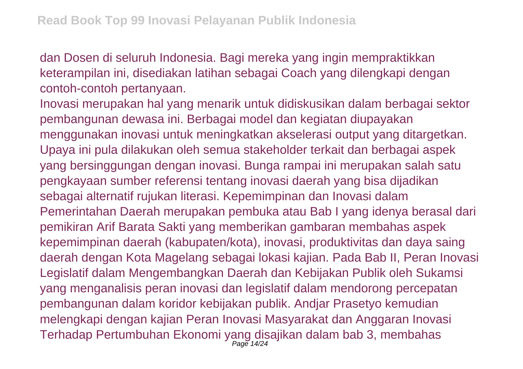dan Dosen di seluruh Indonesia. Bagi mereka yang ingin mempraktikkan keterampilan ini, disediakan latihan sebagai Coach yang dilengkapi dengan contoh-contoh pertanyaan.

Inovasi merupakan hal yang menarik untuk didiskusikan dalam berbagai sektor pembangunan dewasa ini. Berbagai model dan kegiatan diupayakan menggunakan inovasi untuk meningkatkan akselerasi output yang ditargetkan. Upaya ini pula dilakukan oleh semua stakeholder terkait dan berbagai aspek yang bersinggungan dengan inovasi. Bunga rampai ini merupakan salah satu pengkayaan sumber referensi tentang inovasi daerah yang bisa dijadikan sebagai alternatif rujukan literasi. Kepemimpinan dan Inovasi dalam Pemerintahan Daerah merupakan pembuka atau Bab I yang idenya berasal dari pemikiran Arif Barata Sakti yang memberikan gambaran membahas aspek kepemimpinan daerah (kabupaten/kota), inovasi, produktivitas dan daya saing daerah dengan Kota Magelang sebagai lokasi kajian. Pada Bab II, Peran Inovasi Legislatif dalam Mengembangkan Daerah dan Kebijakan Publik oleh Sukamsi yang menganalisis peran inovasi dan legislatif dalam mendorong percepatan pembangunan dalam koridor kebijakan publik. Andjar Prasetyo kemudian melengkapi dengan kajian Peran Inovasi Masyarakat dan Anggaran Inovasi Terhadap Pertumbuhan Ekonomi yang disajikan dalam bab 3, membahas Page 14/24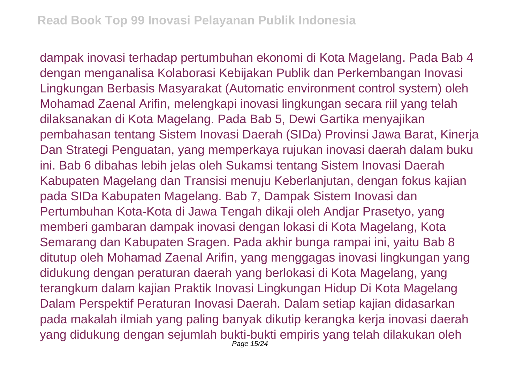dampak inovasi terhadap pertumbuhan ekonomi di Kota Magelang. Pada Bab 4 dengan menganalisa Kolaborasi Kebijakan Publik dan Perkembangan Inovasi Lingkungan Berbasis Masyarakat (Automatic environment control system) oleh Mohamad Zaenal Arifin, melengkapi inovasi lingkungan secara riil yang telah dilaksanakan di Kota Magelang. Pada Bab 5, Dewi Gartika menyajikan pembahasan tentang Sistem Inovasi Daerah (SIDa) Provinsi Jawa Barat, Kinerja Dan Strategi Penguatan, yang memperkaya rujukan inovasi daerah dalam buku ini. Bab 6 dibahas lebih jelas oleh Sukamsi tentang Sistem Inovasi Daerah Kabupaten Magelang dan Transisi menuju Keberlanjutan, dengan fokus kajian pada SIDa Kabupaten Magelang. Bab 7, Dampak Sistem Inovasi dan Pertumbuhan Kota-Kota di Jawa Tengah dikaji oleh Andjar Prasetyo, yang memberi gambaran dampak inovasi dengan lokasi di Kota Magelang, Kota Semarang dan Kabupaten Sragen. Pada akhir bunga rampai ini, yaitu Bab 8 ditutup oleh Mohamad Zaenal Arifin, yang menggagas inovasi lingkungan yang didukung dengan peraturan daerah yang berlokasi di Kota Magelang, yang terangkum dalam kajian Praktik Inovasi Lingkungan Hidup Di Kota Magelang Dalam Perspektif Peraturan Inovasi Daerah. Dalam setiap kajian didasarkan pada makalah ilmiah yang paling banyak dikutip kerangka kerja inovasi daerah yang didukung dengan sejumlah bukti-bukti empiris yang telah dilakukan oleh Page 15/24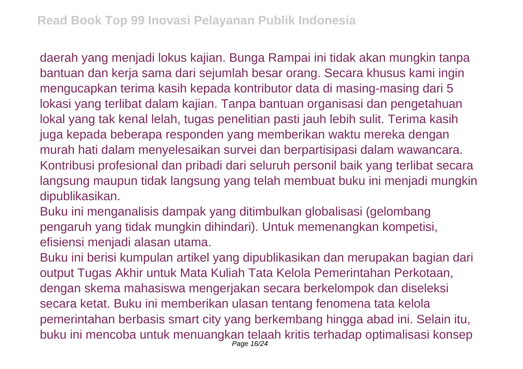daerah yang menjadi lokus kajian. Bunga Rampai ini tidak akan mungkin tanpa bantuan dan kerja sama dari sejumlah besar orang. Secara khusus kami ingin mengucapkan terima kasih kepada kontributor data di masing-masing dari 5 lokasi yang terlibat dalam kajian. Tanpa bantuan organisasi dan pengetahuan lokal yang tak kenal lelah, tugas penelitian pasti jauh lebih sulit. Terima kasih juga kepada beberapa responden yang memberikan waktu mereka dengan murah hati dalam menyelesaikan survei dan berpartisipasi dalam wawancara. Kontribusi profesional dan pribadi dari seluruh personil baik yang terlibat secara langsung maupun tidak langsung yang telah membuat buku ini menjadi mungkin dipublikasikan.

Buku ini menganalisis dampak yang ditimbulkan globalisasi (gelombang pengaruh yang tidak mungkin dihindari). Untuk memenangkan kompetisi, efisiensi menjadi alasan utama.

Buku ini berisi kumpulan artikel yang dipublikasikan dan merupakan bagian dari output Tugas Akhir untuk Mata Kuliah Tata Kelola Pemerintahan Perkotaan, dengan skema mahasiswa mengerjakan secara berkelompok dan diseleksi secara ketat. Buku ini memberikan ulasan tentang fenomena tata kelola pemerintahan berbasis smart city yang berkembang hingga abad ini. Selain itu, buku ini mencoba untuk menuangkan telaah kritis terhadap optimalisasi konsep Page 16/24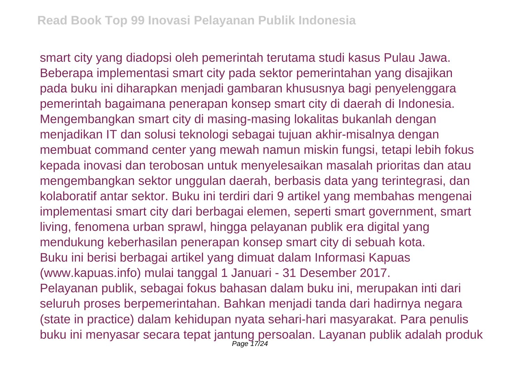smart city yang diadopsi oleh pemerintah terutama studi kasus Pulau Jawa. Beberapa implementasi smart city pada sektor pemerintahan yang disajikan pada buku ini diharapkan menjadi gambaran khususnya bagi penyelenggara pemerintah bagaimana penerapan konsep smart city di daerah di Indonesia. Mengembangkan smart city di masing-masing lokalitas bukanlah dengan menjadikan IT dan solusi teknologi sebagai tujuan akhir-misalnya dengan membuat command center yang mewah namun miskin fungsi, tetapi lebih fokus kepada inovasi dan terobosan untuk menyelesaikan masalah prioritas dan atau mengembangkan sektor unggulan daerah, berbasis data yang terintegrasi, dan kolaboratif antar sektor. Buku ini terdiri dari 9 artikel yang membahas mengenai implementasi smart city dari berbagai elemen, seperti smart government, smart living, fenomena urban sprawl, hingga pelayanan publik era digital yang mendukung keberhasilan penerapan konsep smart city di sebuah kota. Buku ini berisi berbagai artikel yang dimuat dalam Informasi Kapuas (www.kapuas.info) mulai tanggal 1 Januari - 31 Desember 2017. Pelayanan publik, sebagai fokus bahasan dalam buku ini, merupakan inti dari seluruh proses berpemerintahan. Bahkan menjadi tanda dari hadirnya negara (state in practice) dalam kehidupan nyata sehari-hari masyarakat. Para penulis buku ini menyasar secara tepat jantung persoalan. Layanan publik adalah produk<br><sup>Page 17/24</sup>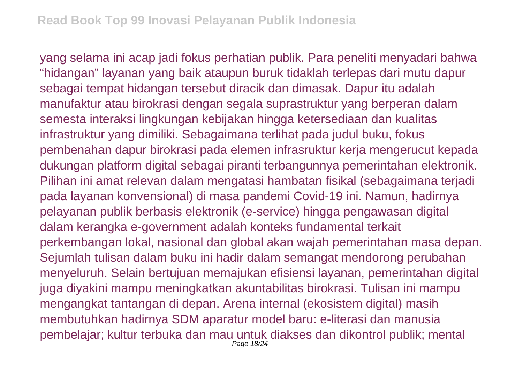yang selama ini acap jadi fokus perhatian publik. Para peneliti menyadari bahwa "hidangan" layanan yang baik ataupun buruk tidaklah terlepas dari mutu dapur sebagai tempat hidangan tersebut diracik dan dimasak. Dapur itu adalah manufaktur atau birokrasi dengan segala suprastruktur yang berperan dalam semesta interaksi lingkungan kebijakan hingga ketersediaan dan kualitas infrastruktur yang dimiliki. Sebagaimana terlihat pada judul buku, fokus pembenahan dapur birokrasi pada elemen infrasruktur kerja mengerucut kepada dukungan platform digital sebagai piranti terbangunnya pemerintahan elektronik. Pilihan ini amat relevan dalam mengatasi hambatan fisikal (sebagaimana terjadi pada layanan konvensional) di masa pandemi Covid-19 ini. Namun, hadirnya pelayanan publik berbasis elektronik (e-service) hingga pengawasan digital dalam kerangka e-government adalah konteks fundamental terkait perkembangan lokal, nasional dan global akan wajah pemerintahan masa depan. Sejumlah tulisan dalam buku ini hadir dalam semangat mendorong perubahan menyeluruh. Selain bertujuan memajukan efisiensi layanan, pemerintahan digital juga diyakini mampu meningkatkan akuntabilitas birokrasi. Tulisan ini mampu mengangkat tantangan di depan. Arena internal (ekosistem digital) masih membutuhkan hadirnya SDM aparatur model baru: e-literasi dan manusia pembelajar; kultur terbuka dan mau untuk diakses dan dikontrol publik; mental Page 18/24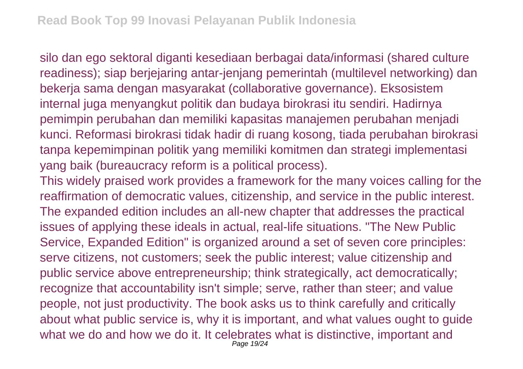silo dan ego sektoral diganti kesediaan berbagai data/informasi (shared culture readiness); siap berjejaring antar-jenjang pemerintah (multilevel networking) dan bekerja sama dengan masyarakat (collaborative governance). Eksosistem internal juga menyangkut politik dan budaya birokrasi itu sendiri. Hadirnya pemimpin perubahan dan memiliki kapasitas manajemen perubahan menjadi kunci. Reformasi birokrasi tidak hadir di ruang kosong, tiada perubahan birokrasi tanpa kepemimpinan politik yang memiliki komitmen dan strategi implementasi yang baik (bureaucracy reform is a political process).

This widely praised work provides a framework for the many voices calling for the reaffirmation of democratic values, citizenship, and service in the public interest. The expanded edition includes an all-new chapter that addresses the practical issues of applying these ideals in actual, real-life situations. "The New Public Service, Expanded Edition" is organized around a set of seven core principles: serve citizens, not customers; seek the public interest; value citizenship and public service above entrepreneurship; think strategically, act democratically; recognize that accountability isn't simple; serve, rather than steer; and value people, not just productivity. The book asks us to think carefully and critically about what public service is, why it is important, and what values ought to guide what we do and how we do it. It celebrates what is distinctive, important and Page 19/24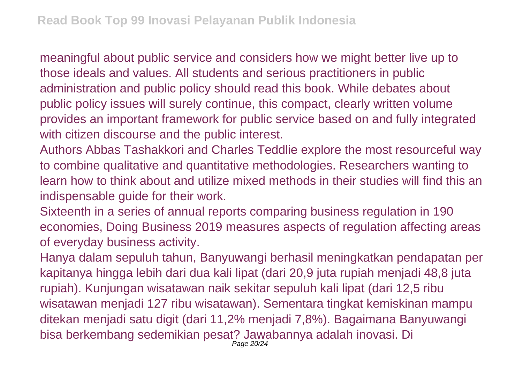meaningful about public service and considers how we might better live up to those ideals and values. All students and serious practitioners in public administration and public policy should read this book. While debates about public policy issues will surely continue, this compact, clearly written volume provides an important framework for public service based on and fully integrated with citizen discourse and the public interest.

Authors Abbas Tashakkori and Charles Teddlie explore the most resourceful way to combine qualitative and quantitative methodologies. Researchers wanting to learn how to think about and utilize mixed methods in their studies will find this an indispensable guide for their work.

Sixteenth in a series of annual reports comparing business regulation in 190 economies, Doing Business 2019 measures aspects of regulation affecting areas of everyday business activity.

Hanya dalam sepuluh tahun, Banyuwangi berhasil meningkatkan pendapatan per kapitanya hingga lebih dari dua kali lipat (dari 20,9 juta rupiah menjadi 48,8 juta rupiah). Kunjungan wisatawan naik sekitar sepuluh kali lipat (dari 12,5 ribu wisatawan menjadi 127 ribu wisatawan). Sementara tingkat kemiskinan mampu ditekan menjadi satu digit (dari 11,2% menjadi 7,8%). Bagaimana Banyuwangi bisa berkembang sedemikian pesat? Jawabannya adalah inovasi. Di Page 20/24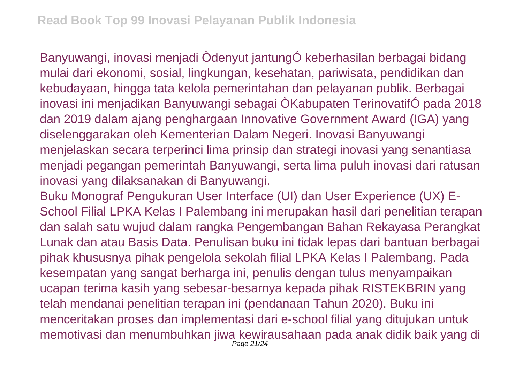Banyuwangi, inovasi menjadi Òdenyut jantungÓ keberhasilan berbagai bidang mulai dari ekonomi, sosial, lingkungan, kesehatan, pariwisata, pendidikan dan kebudayaan, hingga tata kelola pemerintahan dan pelayanan publik. Berbagai inovasi ini menjadikan Banyuwangi sebagai ÒKabupaten TerinovatifÓ pada 2018 dan 2019 dalam ajang penghargaan Innovative Government Award (IGA) yang diselenggarakan oleh Kementerian Dalam Negeri. Inovasi Banyuwangi menjelaskan secara terperinci lima prinsip dan strategi inovasi yang senantiasa menjadi pegangan pemerintah Banyuwangi, serta lima puluh inovasi dari ratusan inovasi yang dilaksanakan di Banyuwangi.

Buku Monograf Pengukuran User Interface (UI) dan User Experience (UX) E-School Filial LPKA Kelas I Palembang ini merupakan hasil dari penelitian terapan dan salah satu wujud dalam rangka Pengembangan Bahan Rekayasa Perangkat Lunak dan atau Basis Data. Penulisan buku ini tidak lepas dari bantuan berbagai pihak khususnya pihak pengelola sekolah filial LPKA Kelas I Palembang. Pada kesempatan yang sangat berharga ini, penulis dengan tulus menyampaikan ucapan terima kasih yang sebesar-besarnya kepada pihak RISTEKBRIN yang telah mendanai penelitian terapan ini (pendanaan Tahun 2020). Buku ini menceritakan proses dan implementasi dari e-school filial yang ditujukan untuk memotivasi dan menumbuhkan jiwa kewirausahaan pada anak didik baik yang di Page 21/24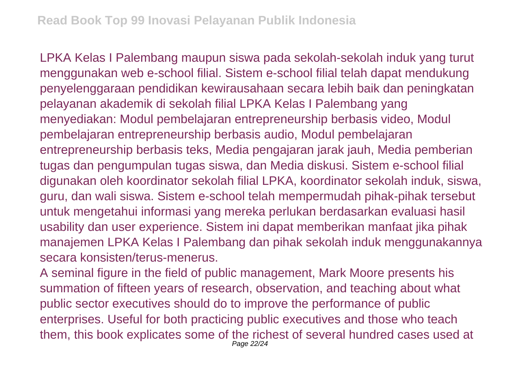LPKA Kelas I Palembang maupun siswa pada sekolah-sekolah induk yang turut menggunakan web e-school filial. Sistem e-school filial telah dapat mendukung penyelenggaraan pendidikan kewirausahaan secara lebih baik dan peningkatan pelayanan akademik di sekolah filial LPKA Kelas I Palembang yang menyediakan: Modul pembelajaran entrepreneurship berbasis video, Modul pembelajaran entrepreneurship berbasis audio, Modul pembelajaran entrepreneurship berbasis teks, Media pengajaran jarak jauh, Media pemberian tugas dan pengumpulan tugas siswa, dan Media diskusi. Sistem e-school filial digunakan oleh koordinator sekolah filial LPKA, koordinator sekolah induk, siswa, guru, dan wali siswa. Sistem e-school telah mempermudah pihak-pihak tersebut untuk mengetahui informasi yang mereka perlukan berdasarkan evaluasi hasil usability dan user experience. Sistem ini dapat memberikan manfaat jika pihak manajemen LPKA Kelas I Palembang dan pihak sekolah induk menggunakannya secara konsisten/terus-menerus.

A seminal figure in the field of public management, Mark Moore presents his summation of fifteen years of research, observation, and teaching about what public sector executives should do to improve the performance of public enterprises. Useful for both practicing public executives and those who teach them, this book explicates some of the richest of several hundred cases used at Page 22/24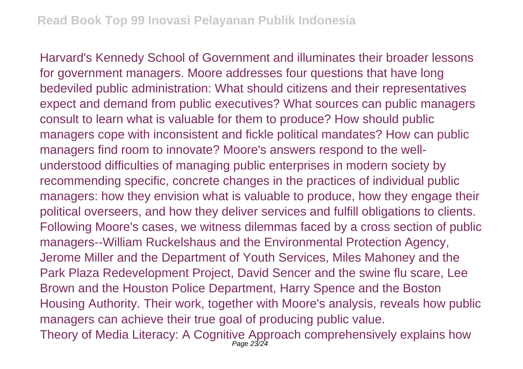Harvard's Kennedy School of Government and illuminates their broader lessons for government managers. Moore addresses four questions that have long bedeviled public administration: What should citizens and their representatives expect and demand from public executives? What sources can public managers consult to learn what is valuable for them to produce? How should public managers cope with inconsistent and fickle political mandates? How can public managers find room to innovate? Moore's answers respond to the wellunderstood difficulties of managing public enterprises in modern society by recommending specific, concrete changes in the practices of individual public managers: how they envision what is valuable to produce, how they engage their political overseers, and how they deliver services and fulfill obligations to clients. Following Moore's cases, we witness dilemmas faced by a cross section of public managers--William Ruckelshaus and the Environmental Protection Agency, Jerome Miller and the Department of Youth Services, Miles Mahoney and the Park Plaza Redevelopment Project, David Sencer and the swine flu scare, Lee Brown and the Houston Police Department, Harry Spence and the Boston Housing Authority. Their work, together with Moore's analysis, reveals how public managers can achieve their true goal of producing public value. Theory of Media Literacy: A Cognitive Approach comprehensively explains how Page 23/24